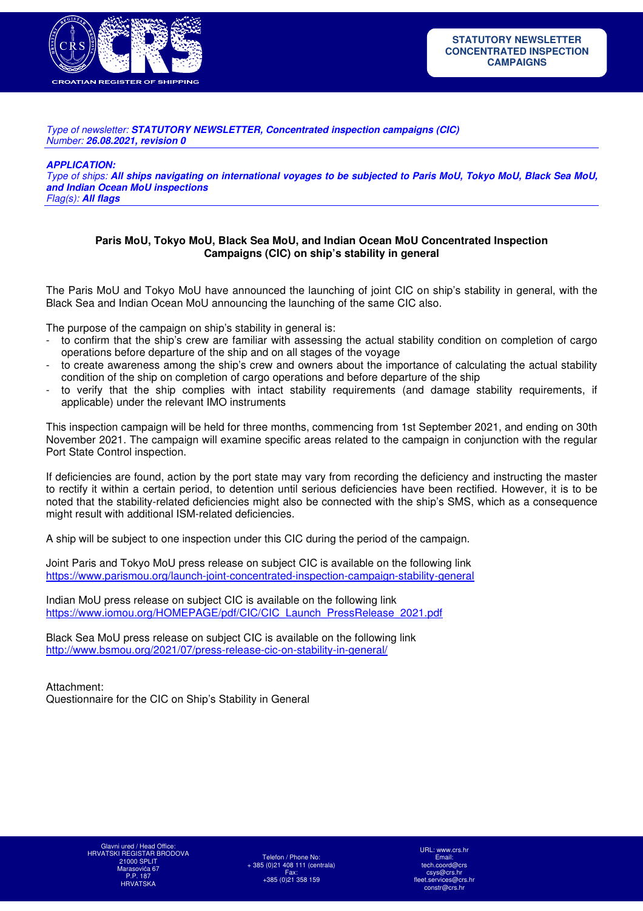

Type of newsletter: *STATUTORY NEWSLETTER, Concentrated inspection campaigns (CIC)* Number: *26.08.2021, revision 0* 

*APPLICATION:* 

Type of ships: *All ships navigating on international voyages to be subjected to Paris MoU, Tokyo MoU, Black Sea MoU, and Indian Ocean MoU inspections*  Flag(s): *All flags*

#### **Paris MoU, Tokyo MoU, Black Sea MoU, and Indian Ocean MoU Concentrated Inspection Campaigns (CIC) on ship's stability in general**

The Paris MoU and Tokyo MoU have announced the launching of joint CIC on ship's stability in general, with the Black Sea and Indian Ocean MoU announcing the launching of the same CIC also.

The purpose of the campaign on ship's stability in general is:

- to confirm that the ship's crew are familiar with assessing the actual stability condition on completion of cargo operations before departure of the ship and on all stages of the voyage
- to create awareness among the ship's crew and owners about the importance of calculating the actual stability condition of the ship on completion of cargo operations and before departure of the ship
- to verify that the ship complies with intact stability requirements (and damage stability requirements, if applicable) under the relevant IMO instruments

This inspection campaign will be held for three months, commencing from 1st September 2021, and ending on 30th November 2021. The campaign will examine specific areas related to the campaign in conjunction with the regular Port State Control inspection.

If deficiencies are found, action by the port state may vary from recording the deficiency and instructing the master to rectify it within a certain period, to detention until serious deficiencies have been rectified. However, it is to be noted that the stability-related deficiencies might also be connected with the ship's SMS, which as a consequence might result with additional ISM-related deficiencies.

A ship will be subject to one inspection under this CIC during the period of the campaign.

Joint Paris and Tokyo MoU press release on subject CIC is available on the following link https://www.parismou.org/launch-joint-concentrated-inspection-campaign-stability-general

Indian MoU press release on subject CIC is available on the following link https://www.iomou.org/HOMEPAGE/pdf/CIC/CIC\_Launch\_PressRelease\_2021.pdf

Black Sea MoU press release on subject CIC is available on the following link http://www.bsmou.org/2021/07/press-release-cic-on-stability-in-general/

Attachment: Questionnaire for the CIC on Ship's Stability in General

Telefon / Phone No: + 385 (0)21 408 111 (centrala) Fax: +385 (0)21 358 159

URL: www.crs.h Email: tech.coord@crs csys@crs.hr fleet.services@crs.hr constr@crs.hr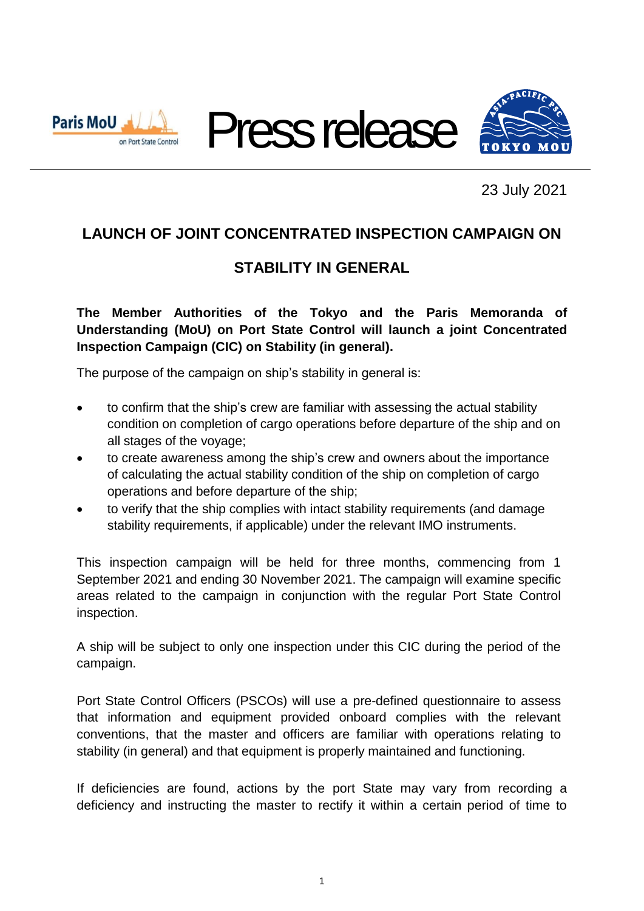





23 July 2021

# **LAUNCH OF JOINT CONCENTRATED INSPECTION CAMPAIGN ON**

## **STABILITY IN GENERAL**

**The Member Authorities of the Tokyo and the Paris Memoranda of Understanding (MoU) on Port State Control will launch a joint Concentrated Inspection Campaign (CIC) on Stability (in general).**

The purpose of the campaign on ship's stability in general is:

- to confirm that the ship's crew are familiar with assessing the actual stability condition on completion of cargo operations before departure of the ship and on all stages of the voyage;
- to create awareness among the ship's crew and owners about the importance of calculating the actual stability condition of the ship on completion of cargo operations and before departure of the ship;
- to verify that the ship complies with intact stability requirements (and damage stability requirements, if applicable) under the relevant IMO instruments.

This inspection campaign will be held for three months, commencing from 1 September 2021 and ending 30 November 2021. The campaign will examine specific areas related to the campaign in conjunction with the regular Port State Control inspection.

A ship will be subject to only one inspection under this CIC during the period of the campaign.

Port State Control Officers (PSCOs) will use a pre-defined questionnaire to assess that information and equipment provided onboard complies with the relevant conventions, that the master and officers are familiar with operations relating to stability (in general) and that equipment is properly maintained and functioning.

If deficiencies are found, actions by the port State may vary from recording a deficiency and instructing the master to rectify it within a certain period of time to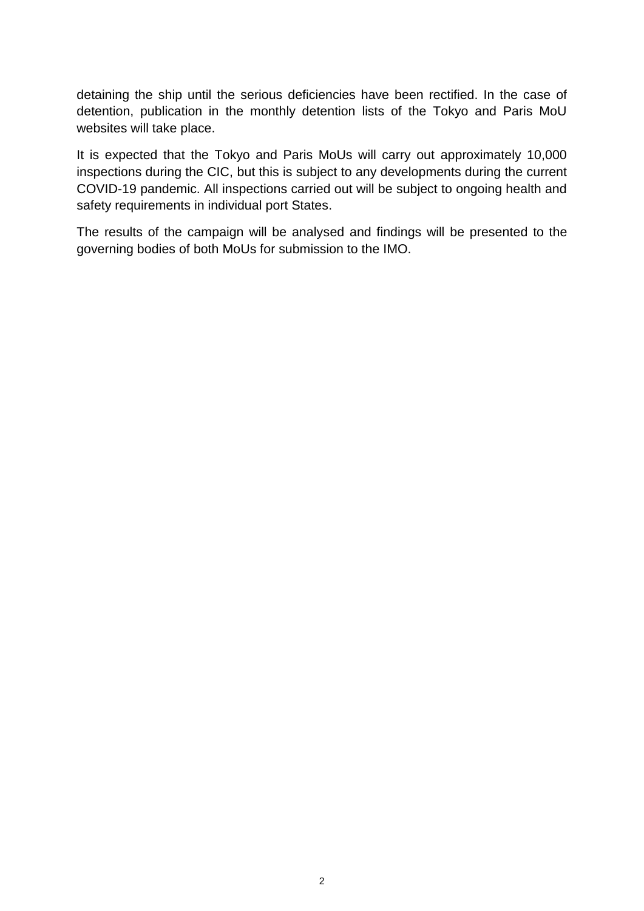detaining the ship until the serious deficiencies have been rectified. In the case of detention, publication in the monthly detention lists of the Tokyo and Paris MoU websites will take place.

It is expected that the Tokyo and Paris MoUs will carry out approximately 10,000 inspections during the CIC, but this is subject to any developments during the current COVID-19 pandemic. All inspections carried out will be subject to ongoing health and safety requirements in individual port States.

The results of the campaign will be analysed and findings will be presented to the governing bodies of both MoUs for submission to the IMO.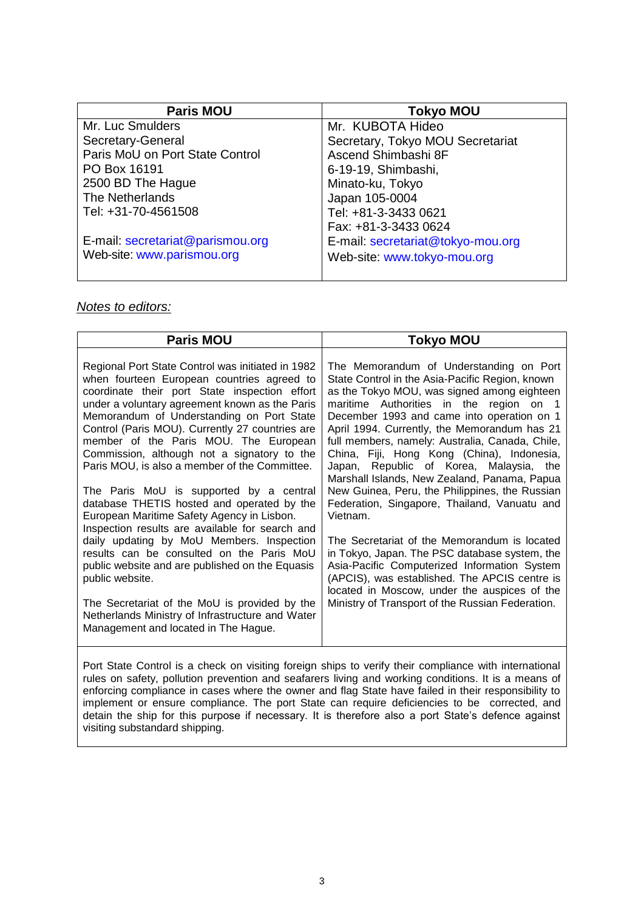| <b>Paris MOU</b>                 | <b>Tokyo MOU</b>                  |
|----------------------------------|-----------------------------------|
| Mr. Luc Smulders                 | Mr. KUBOTA Hideo                  |
| Secretary-General                | Secretary, Tokyo MOU Secretariat  |
| Paris MoU on Port State Control  | Ascend Shimbashi 8F               |
| PO Box 16191                     | 6-19-19, Shimbashi,               |
| 2500 BD The Hague                | Minato-ku, Tokyo                  |
| The Netherlands                  | Japan 105-0004                    |
| Tel: +31-70-4561508              | Tel: +81-3-3433 0621              |
|                                  | Fax: +81-3-3433 0624              |
| E-mail: secretariat@parismou.org | E-mail: secretariat@tokyo-mou.org |
| Web-site: www.parismou.org       | Web-site: www.tokyo-mou.org       |

#### *Notes to editors:*

| <b>Paris MOU</b>                                                                                                                                                                                                                                                                                                                                                                                                                                                                                                                                                                                                                                                                                                                                                                                                                                                                                                                                   | <b>Tokyo MOU</b>                                                                                                                                                                                                                                                                                                                                                                                                                                                                                                                                                                                                                                                                                                                                                                                                                                                                                   |  |  |
|----------------------------------------------------------------------------------------------------------------------------------------------------------------------------------------------------------------------------------------------------------------------------------------------------------------------------------------------------------------------------------------------------------------------------------------------------------------------------------------------------------------------------------------------------------------------------------------------------------------------------------------------------------------------------------------------------------------------------------------------------------------------------------------------------------------------------------------------------------------------------------------------------------------------------------------------------|----------------------------------------------------------------------------------------------------------------------------------------------------------------------------------------------------------------------------------------------------------------------------------------------------------------------------------------------------------------------------------------------------------------------------------------------------------------------------------------------------------------------------------------------------------------------------------------------------------------------------------------------------------------------------------------------------------------------------------------------------------------------------------------------------------------------------------------------------------------------------------------------------|--|--|
| Regional Port State Control was initiated in 1982<br>when fourteen European countries agreed to<br>coordinate their port State inspection effort<br>under a voluntary agreement known as the Paris<br>Memorandum of Understanding on Port State<br>Control (Paris MOU). Currently 27 countries are<br>member of the Paris MOU. The European<br>Commission, although not a signatory to the<br>Paris MOU, is also a member of the Committee.<br>The Paris MoU is supported by a central<br>database THETIS hosted and operated by the<br>European Maritime Safety Agency in Lisbon.<br>Inspection results are available for search and<br>daily updating by MoU Members. Inspection<br>results can be consulted on the Paris MoU<br>public website and are published on the Equasis<br>public website.<br>The Secretariat of the MoU is provided by the<br>Netherlands Ministry of Infrastructure and Water<br>Management and located in The Hague. | The Memorandum of Understanding on Port<br>State Control in the Asia-Pacific Region, known<br>as the Tokyo MOU, was signed among eighteen<br>maritime Authorities in the region on 1<br>December 1993 and came into operation on 1<br>April 1994. Currently, the Memorandum has 21<br>full members, namely: Australia, Canada, Chile,<br>China, Fiji, Hong Kong (China), Indonesia,<br>Japan, Republic of Korea, Malaysia, the<br>Marshall Islands, New Zealand, Panama, Papua<br>New Guinea, Peru, the Philippines, the Russian<br>Federation, Singapore, Thailand, Vanuatu and<br>Vietnam.<br>The Secretariat of the Memorandum is located<br>in Tokyo, Japan. The PSC database system, the<br>Asia-Pacific Computerized Information System<br>(APCIS), was established. The APCIS centre is<br>located in Moscow, under the auspices of the<br>Ministry of Transport of the Russian Federation. |  |  |

Port State Control is a check on visiting foreign ships to verify their compliance with international rules on safety, pollution prevention and seafarers living and working conditions. It is a means of enforcing compliance in cases where the owner and flag State have failed in their responsibility to implement or ensure compliance. The port State can require deficiencies to be corrected, and detain the ship for this purpose if necessary. It is therefore also a port State's defence against visiting substandard shipping.